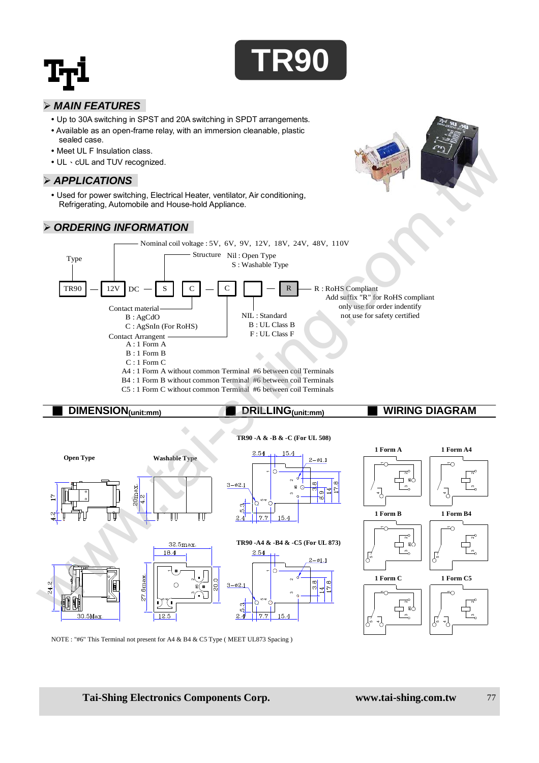

#### *MAIN FEATURES*

- Up to 30A switching in SPST and 20A switching in SPDT arrangements.
- Available as an open-frame relay, with an immersion cleanable, plastic sealed case.
- Meet UL F Insulation class.
- UL · cUL and TUV recognized.

#### *APPLICATIONS*

 Used for power switching, Electrical Heater, ventilator, Air conditioning, Refrigerating, Automobile and House-hold Appliance.

#### *ORDERING INFORMATION*





- B4 : 1 Form B without common Terminal #6 between coil Terminals C5 : 1 Form C without common Terminal #6 between coil Terminals
- 

# ■ **DIMENSION(unit:mm)** ■ **DRILLING(unit:mm)** ■ **WIRING DIAGRAM**

#### **TR90 -A & -B & -C (For UL 508)**



NOTE : "#6" This Terminal not present for A4 & B4 & C5 Type ( MEET UL873 Spacing )

#### **Tai-Shing Electronics Components Corp. www.tai-shing.com.tw** 77